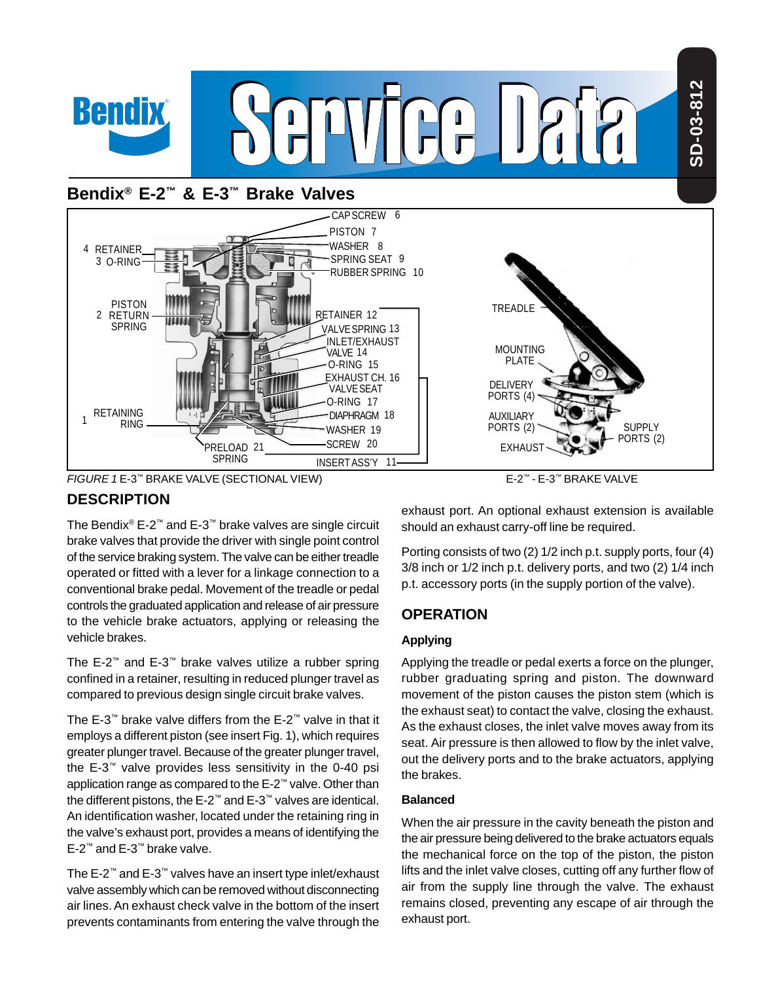



E-2™ - E-3™ BRAKE VALVE

# **DESCRIPTION**

The Bendix® E-2™ and E-3™ brake valves are single circuit brake valves that provide the driver with single point control of the service braking system. The valve can be either treadle operated or fitted with a lever for a linkage connection to a conventional brake pedal. Movement of the treadle or pedal controls the graduated application and release of air pressure to the vehicle brake actuators, applying or releasing the vehicle brakes.

The E-2™ and E-3™ brake valves utilize a rubber spring confined in a retainer, resulting in reduced plunger travel as compared to previous design single circuit brake valves.

The E-3™ brake valve differs from the E-2™ valve in that it employs a different piston (see insert Fig. 1), which requires greater plunger travel. Because of the greater plunger travel, the E-3™ valve provides less sensitivity in the 0-40 psi application range as compared to the E-2™ valve. Other than the different pistons, the E-2™ and E-3™ valves are identical. An identification washer, located under the retaining ring in the valve's exhaust port, provides a means of identifying the E-2™ and E-3™ brake valve.

The E-2™ and E-3™ valves have an insert type inlet/exhaust valve assembly which can be removed without disconnecting air lines. An exhaust check valve in the bottom of the insert prevents contaminants from entering the valve through the

exhaust port. An optional exhaust extension is available should an exhaust carry-off line be required.

Porting consists of two (2) 1/2 inch p.t. supply ports, four (4) 3/8 inch or 1/2 inch p.t. delivery ports, and two (2) 1/4 inch p.t. accessory ports (in the supply portion of the valve).

# **OPERATION**

## **Applying**

Applying the treadle or pedal exerts a force on the plunger, rubber graduating spring and piston. The downward movement of the piston causes the piston stem (which is the exhaust seat) to contact the valve, closing the exhaust. As the exhaust closes, the inlet valve moves away from its seat. Air pressure is then allowed to flow by the inlet valve, out the delivery ports and to the brake actuators, applying the brakes.

## **Balanced**

When the air pressure in the cavity beneath the piston and the air pressure being delivered to the brake actuators equals the mechanical force on the top of the piston, the piston lifts and the inlet valve closes, cutting off any further flow of air from the supply line through the valve. The exhaust remains closed, preventing any escape of air through the exhaust port.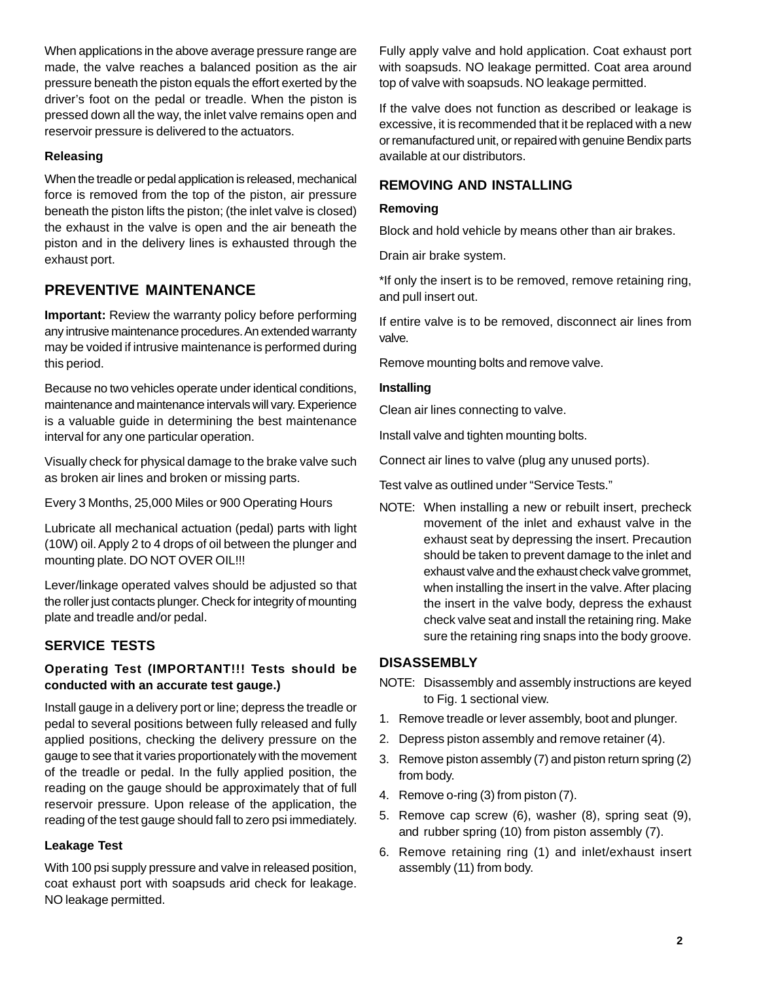When applications in the above average pressure range are made, the valve reaches a balanced position as the air pressure beneath the piston equals the effort exerted by the driver's foot on the pedal or treadle. When the piston is pressed down all the way, the inlet valve remains open and reservoir pressure is delivered to the actuators.

## **Releasing**

When the treadle or pedal application is released, mechanical force is removed from the top of the piston, air pressure beneath the piston lifts the piston; (the inlet valve is closed) the exhaust in the valve is open and the air beneath the piston and in the delivery lines is exhausted through the exhaust port.

## **PREVENTIVE MAINTENANCE**

**Important:** Review the warranty policy before performing any intrusive maintenance procedures. An extended warranty may be voided if intrusive maintenance is performed during this period.

Because no two vehicles operate under identical conditions, maintenance and maintenance intervals will vary. Experience is a valuable guide in determining the best maintenance interval for any one particular operation.

Visually check for physical damage to the brake valve such as broken air lines and broken or missing parts.

Every 3 Months, 25,000 Miles or 900 Operating Hours

Lubricate all mechanical actuation (pedal) parts with light (10W) oil. Apply 2 to 4 drops of oil between the plunger and mounting plate. DO NOT OVER OIL!!!

Lever/linkage operated valves should be adjusted so that the roller just contacts plunger. Check for integrity of mounting plate and treadle and/or pedal.

## **SERVICE TESTS**

## **Operating Test (IMPORTANT!!! Tests should be conducted with an accurate test gauge.)**

Install gauge in a delivery port or line; depress the treadle or pedal to several positions between fully released and fully applied positions, checking the delivery pressure on the gauge to see that it varies proportionately with the movement of the treadle or pedal. In the fully applied position, the reading on the gauge should be approximately that of full reservoir pressure. Upon release of the application, the reading of the test gauge should fall to zero psi immediately.

#### **Leakage Test**

With 100 psi supply pressure and valve in released position, coat exhaust port with soapsuds arid check for leakage. NO leakage permitted.

Fully apply valve and hold application. Coat exhaust port with soapsuds. NO leakage permitted. Coat area around top of valve with soapsuds. NO leakage permitted.

If the valve does not function as described or leakage is excessive, it is recommended that it be replaced with a new or remanufactured unit, or repaired with genuine Bendix parts available at our distributors.

## **REMOVING AND INSTALLING**

#### **Removing**

Block and hold vehicle by means other than air brakes.

Drain air brake system.

\*If only the insert is to be removed, remove retaining ring, and pull insert out.

If entire valve is to be removed, disconnect air lines from valve.

Remove mounting bolts and remove valve.

#### **Installing**

Clean air lines connecting to valve.

Install valve and tighten mounting bolts.

Connect air lines to valve (plug any unused ports).

Test valve as outlined under "Service Tests."

NOTE: When installing a new or rebuilt insert, precheck movement of the inlet and exhaust valve in the exhaust seat by depressing the insert. Precaution should be taken to prevent damage to the inlet and exhaust valve and the exhaust check valve grommet, when installing the insert in the valve. After placing the insert in the valve body, depress the exhaust check valve seat and install the retaining ring. Make sure the retaining ring snaps into the body groove.

## **DISASSEMBLY**

- NOTE: Disassembly and assembly instructions are keyed to Fig. 1 sectional view.
- 1. Remove treadle or lever assembly, boot and plunger.
- 2. Depress piston assembly and remove retainer (4).
- 3. Remove piston assembly (7) and piston return spring (2) from body.
- 4. Remove o-ring (3) from piston (7).
- 5. Remove cap screw (6), washer (8), spring seat (9), and rubber spring (10) from piston assembly (7).
- 6. Remove retaining ring (1) and inlet/exhaust insert assembly (11) from body.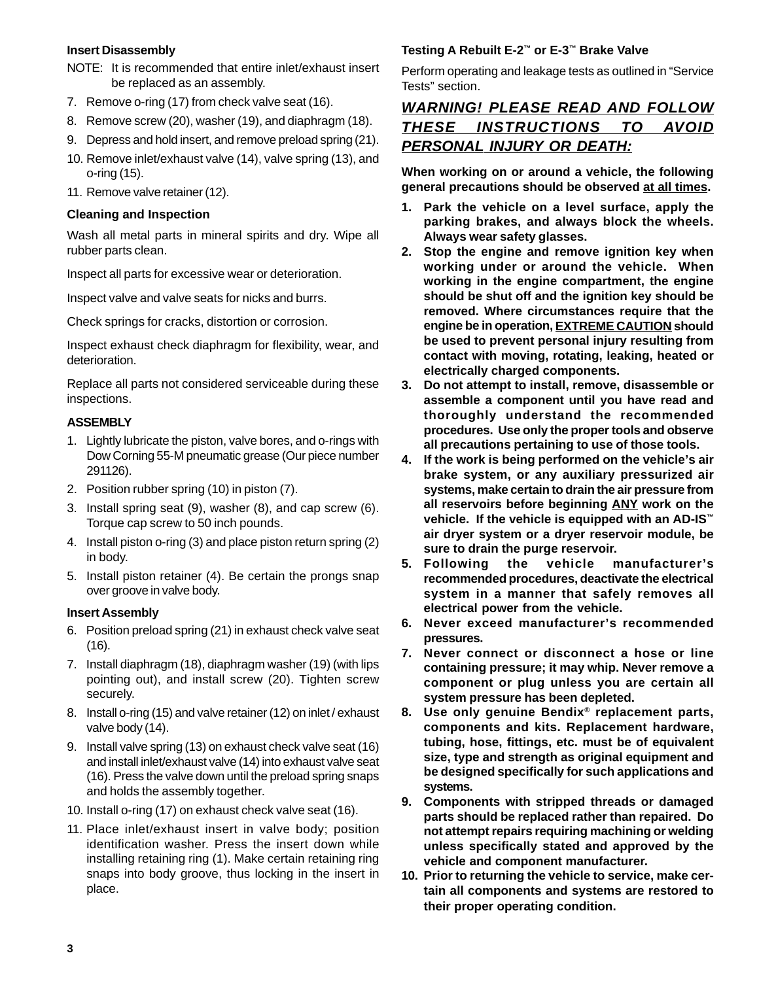#### **Insert Disassembly**

- NOTE: It is recommended that entire inlet/exhaust insert be replaced as an assembly.
- 7. Remove o-ring (17) from check valve seat (16).
- 8. Remove screw (20), washer (19), and diaphragm (18).
- 9. Depress and hold insert, and remove preload spring (21).
- 10. Remove inlet/exhaust valve (14), valve spring (13), and o-ring (15).
- 11. Remove valve retainer (12).

#### **Cleaning and Inspection**

Wash all metal parts in mineral spirits and dry. Wipe all rubber parts clean.

Inspect all parts for excessive wear or deterioration.

Inspect valve and valve seats for nicks and burrs.

Check springs for cracks, distortion or corrosion.

Inspect exhaust check diaphragm for flexibility, wear, and deterioration.

Replace all parts not considered serviceable during these inspections.

#### **ASSEMBLY**

- 1. Lightly lubricate the piston, valve bores, and o-rings with Dow Corning 55-M pneumatic grease (Our piece number 291126).
- 2. Position rubber spring (10) in piston (7).
- 3. Install spring seat (9), washer (8), and cap screw (6). Torque cap screw to 50 inch pounds.
- 4. Install piston o-ring (3) and place piston return spring (2) in body.
- 5. Install piston retainer (4). Be certain the prongs snap over groove in valve body.

#### **Insert Assembly**

- 6. Position preload spring (21) in exhaust check valve seat (16).
- 7. Install diaphragm (18), diaphragm washer (19) (with lips pointing out), and install screw (20). Tighten screw securely.
- 8. Install o-ring (15) and valve retainer (12) on inlet / exhaust valve body (14).
- 9. Install valve spring (13) on exhaust check valve seat (16) and install inlet/exhaust valve (14) into exhaust valve seat (16). Press the valve down until the preload spring snaps and holds the assembly together.
- 10. Install o-ring (17) on exhaust check valve seat (16).
- 11. Place inlet/exhaust insert in valve body; position identification washer. Press the insert down while installing retaining ring (1). Make certain retaining ring snaps into body groove, thus locking in the insert in place.

## **Testing A Rebuilt E-2™ or E-3™ Brake Valve**

Perform operating and leakage tests as outlined in "Service Tests" section.

# **WARNING! PLEASE READ AND FOLLOW THESE INSTRUCTIONS TO AVOID PERSONAL INJURY OR DEATH:**

**When working on or around a vehicle, the following general precautions should be observed at all times.**

- **1. Park the vehicle on a level surface, apply the parking brakes, and always block the wheels. Always wear safety glasses.**
- **2. Stop the engine and remove ignition key when working under or around the vehicle. When working in the engine compartment, the engine should be shut off and the ignition key should be removed. Where circumstances require that the engine be in operation, EXTREME CAUTION should be used to prevent personal injury resulting from contact with moving, rotating, leaking, heated or electrically charged components.**
- **3. Do not attempt to install, remove, disassemble or assemble a component until you have read and thoroughly understand the recommended procedures. Use only the proper tools and observe all precautions pertaining to use of those tools.**
- **4. If the work is being performed on the vehicle's air brake system, or any auxiliary pressurized air systems, make certain to drain the air pressure from all reservoirs before beginning ANY work on the vehicle. If the vehicle is equipped with an AD-IS™ air dryer system or a dryer reservoir module, be sure to drain the purge reservoir.**
- **5. Following the vehicle manufacturer's recommended procedures, deactivate the electrical system in a manner that safely removes all electrical power from the vehicle.**
- **6. Never exceed manufacturer's recommended pressures.**
- **7. Never connect or disconnect a hose or line containing pressure; it may whip. Never remove a component or plug unless you are certain all system pressure has been depleted.**
- **8. Use only genuine Bendix® replacement parts, components and kits. Replacement hardware, tubing, hose, fittings, etc. must be of equivalent size, type and strength as original equipment and be designed specifically for such applications and systems.**
- **9. Components with stripped threads or damaged parts should be replaced rather than repaired. Do not attempt repairs requiring machining or welding unless specifically stated and approved by the vehicle and component manufacturer.**
- **10. Prior to returning the vehicle to service, make certain all components and systems are restored to their proper operating condition.**